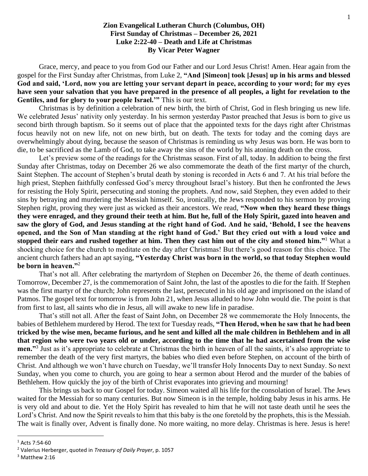## **Zion Evangelical Lutheran Church (Columbus, OH) First Sunday of Christmas – December 26, 2021 Luke 2:22-40 – Death and Life at Christmas By Vicar Peter Wagner**

Grace, mercy, and peace to you from God our Father and our Lord Jesus Christ! Amen. Hear again from the gospel for the First Sunday after Christmas, from Luke 2, **"And [Simeon] took [Jesus] up in his arms and blessed God and said, 'Lord, now you are letting your servant depart in peace, according to your word; for my eyes have seen your salvation that you have prepared in the presence of all peoples, a light for revelation to the Gentiles, and for glory to your people Israel.'"** This is our text.

Christmas is by definition a celebration of new birth, the birth of Christ, God in flesh bringing us new life. We celebrated Jesus' nativity only yesterday. In his sermon yesterday Pastor preached that Jesus is born to give us second birth through baptism. So it seems out of place that the appointed texts for the days right after Christmas focus heavily not on new life, not on new birth, but on death. The texts for today and the coming days are overwhelmingly about dying, because the season of Christmas is reminding us why Jesus was born. He was born to die, to be sacrificed as the Lamb of God, to take away the sins of the world by his atoning death on the cross.

Let's preview some of the readings for the Christmas season. First of all, today. In addition to being the first Sunday after Christmas, today on December 26 we also commemorate the death of the first martyr of the church, Saint Stephen. The account of Stephen's brutal death by stoning is recorded in Acts 6 and 7. At his trial before the high priest, Stephen faithfully confessed God's mercy throughout Israel's history. But then he confronted the Jews for resisting the Holy Spirit, persecuting and stoning the prophets. And now, said Stephen, they even added to their sins by betraying and murdering the Messiah himself. So, ironically, the Jews responded to his sermon by proving Stephen right, proving they were just as wicked as their ancestors. We read, **"Now when they heard these things they were enraged, and they ground their teeth at him. But he, full of the Holy Spirit, gazed into heaven and saw the glory of God, and Jesus standing at the right hand of God. And he said, 'Behold, I see the heavens opened, and the Son of Man standing at the right hand of God.' But they cried out with a loud voice and stopped their ears and rushed together at him. Then they cast him out of the city and stoned him."**<sup>1</sup> What a shocking choice for the church to meditate on the day after Christmas! But there's good reason for this choice. The ancient church fathers had an apt saying, **"Yesterday Christ was born in the world, so that today Stephen would be born in heaven."**<sup>2</sup>

That's not all. After celebrating the martyrdom of Stephen on December 26, the theme of death continues. Tomorrow, December 27, is the commemoration of Saint John, the last of the apostles to die for the faith. If Stephen was the first martyr of the church; John represents the last, persecuted in his old age and imprisoned on the island of Patmos. The gospel text for tomorrow is from John 21, when Jesus alluded to how John would die. The point is that from first to last, all saints who die in Jesus, all will awake to new life in paradise.

That's still not all. After the feast of Saint John, on December 28 we commemorate the Holy Innocents, the babies of Bethlehem murdered by Herod. The text for Tuesday reads, **"Then Herod, when he saw that he had been tricked by the wise men, became furious, and he sent and killed all the male children in Bethlehem and in all that region who were two years old or under, according to the time that he had ascertained from the wise men."**<sup>3</sup> Just as it's appropriate to celebrate at Christmas the birth in heaven of all the saints, it's also appropriate to remember the death of the very first martyrs, the babies who died even before Stephen, on account of the birth of Christ. And although we won't have church on Tuesday, we'll transfer Holy Innocents Day to next Sunday. So next Sunday, when you come to church, you are going to hear a sermon about Herod and the murder of the babies of Bethlehem. How quickly the joy of the birth of Christ evaporates into grieving and mourning!

This brings us back to our Gospel for today. Simeon waited all his life for the consolation of Israel. The Jews waited for the Messiah for so many centuries. But now Simeon is in the temple, holding baby Jesus in his arms. He is very old and about to die. Yet the Holy Spirit has revealed to him that he will not taste death until he sees the Lord's Christ. And now the Spirit reveals to him that this baby is the one foretold by the prophets, this is the Messiah. The wait is finally over, Advent is finally done. No more waiting, no more delay. Christmas is here. Jesus is here!

<sup>1</sup> Acts 7:54-60

<sup>2</sup> Valerius Herberger, quoted in *Treasury of Daily Prayer*, p. 1057

<sup>3</sup> Matthew 2:16